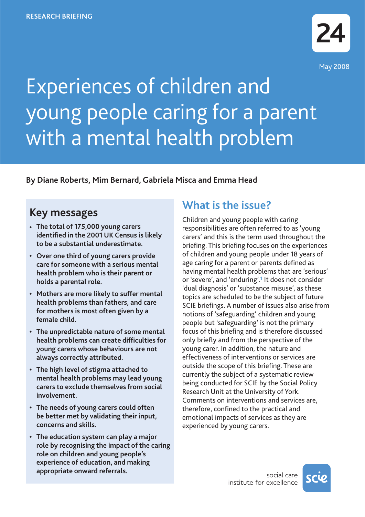

# Experiences of children and young people caring for a parent with a mental health problem

**By Diane Roberts, Mim Bernard, Gabriela Misca and Emma Head**

## **Key messages**

- **• The total of 175,000 young carers identified in the 2001 UK Census is likely to be a substantial underestimate.**
- **Over one third of young carers provide care for someone with a serious mental health problem who is their parent or holds a parental role.**
- **Mothers are more likely to suffer mental health problems than fathers, and care for mothers is most often given by a female child.**
- **The unpredictable nature of some mental health problems can create difficulties for young carers whose behaviours are not always correctly attributed.**
- **The high level of stigma attached to mental health problems may lead young carers to exclude themselves from social involvement.**
- **The needs of young carers could often be better met by validating their input, concerns and skills.**
- **The education system can play a major role by recognising the impact of the caring role on children and young people's experience of education, and making appropriate onward referrals.**

# **What is the issue?**

Children and young people with caring responsibilities are often referred to as 'young carers' and this is the term used throughout the briefing. This briefing focuses on the experiences of children and young people under 18 years of age caring for a parent or parents defined as having mental health problems that are 'serious' or 'severe', and 'enduring'.**<sup>1</sup>** It does not consider 'dual diagnosis' or 'substance misuse', as these topics are scheduled to be the subject of future SCIE briefings. A number of issues also arise from notions of 'safeguarding' children and young people but 'safeguarding' is not the primary focus of this briefing and is therefore discussed only briefly and from the perspective of the young carer. In addition, the nature and effectiveness of interventions or services are outside the scope of this briefing. These are currently the subject of a systematic review being conducted for SCIE by the Social Policy Research Unit at the University of York. Comments on interventions and services are, therefore, confined to the practical and emotional impacts of services as they are experienced by young carers.

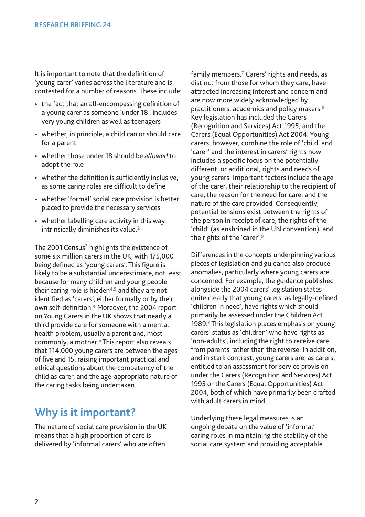It is important to note that the definition of 'young carer' varies across the literature and is contested for a number of reasons. These include:

- the fact that an all-encompassing definition of a young carer as someone 'under 18', includes very young children as well as teenagers
- whether, in principle, a child can or should care for a parent
- whether those under 18 should be *allowed* to adopt the role
- whether the definition is sufficiently inclusive, as some caring roles are difficult to define
- whether 'formal' social care provision is better placed to provide the necessary services
- whether labelling care activity in this way intrinsically diminishes its value.**<sup>2</sup>**

The 2001 Census**<sup>3</sup>** highlights the existence of some six million carers in the UK, with 175,000 being defined as 'young carers'. This figure is likely to be a substantial underestimate, not least because for many children and young people their caring role is hidden**4,5** and they are not identified as 'carers', either formally or by their own self-definition.**<sup>4</sup>** Moreover, the 2004 report on Young Carers in the UK shows that nearly a third provide care for someone with a mental health problem, usually a parent and, most commonly, a mother.**<sup>6</sup>** This report also reveals that 114,000 young carers are between the ages of five and 15, raising important practical and ethical questions about the competency of the child as carer, and the age-appropriate nature of the caring tasks being undertaken.

## **Why is it important?**

The nature of social care provision in the UK means that a high proportion of care is delivered by 'informal carers' who are often

family members.**<sup>7</sup>** Carers' rights and needs, as distinct from those for whom they care, have attracted increasing interest and concern and are now more widely acknowledged by practitioners, academics and policy makers.**<sup>8</sup>** Key legislation has included the Carers (Recognition and Services) Act 1995, and the Carers (Equal Opportunities) Act 2004. Young carers, however, combine the role of 'child' and 'carer' and the interest in carers' rights now includes a specific focus on the potentially different, or additional, rights and needs of young carers. Important factors include the age of the carer, their relationship to the recipient of care, the reason for the need for care, and the nature of the care provided. Consequently, potential tensions exist between the rights of the person in receipt of care, the rights of the 'child' (as enshrined in the UN convention), and the rights of the 'carer'.**<sup>9</sup>**

Differences in the concepts underpinning various pieces of legislation and guidance also produce anomalies, particularly where young carers are concerned. For example, the guidance published alongside the 2004 carers' legislation states quite clearly that young carers, as legally-defined 'children in need', have rights which should primarily be assessed under the Children Act 1989.**<sup>7</sup>** This legislation places emphasis on young carers' status as 'children' who have rights as 'non-adults', including the right to receive care from parents rather than the reverse. In addition, and in stark contrast, young carers are, as carers, entitled to an assessment for service provision under the Carers (Recognition and Services) Act 1995 or the Carers (Equal Opportunities) Act 2004, both of which have primarily been drafted with adult carers in mind.

Underlying these legal measures is an ongoing debate on the value of 'informal' caring roles in maintaining the stability of the social care system and providing acceptable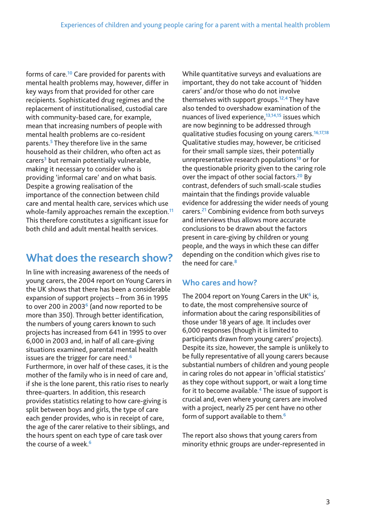forms of care.**<sup>10</sup>** Care provided for parents with mental health problems may, however, differ in key ways from that provided for other care recipients. Sophisticated drug regimes and the replacement of institutionalised, custodial care with community-based care, for example, mean that increasing numbers of people with mental health problems are co-resident parents.**<sup>5</sup>** They therefore live in the same household as their children, who often act as carers**<sup>3</sup>** but remain potentially vulnerable, making it necessary to consider who is providing 'informal care' and on what basis. Despite a growing realisation of the importance of the connection between child care and mental health care, services which use whole-family approaches remain the exception.**<sup>11</sup>** This therefore constitutes a significant issue for both child and adult mental health services.

## **What does the research show?**

In line with increasing awareness of the needs of young carers, the 2004 report on Young Carers in the UK shows that there has been a considerable expansion of support projects – from 36 in 1995 to over 200 in 2003**<sup>6</sup>** (and now reported to be more than 350). Through better identification, the numbers of young carers known to such projects has increased from 641 in 1995 to over 6,000 in 2003 and, in half of all care-giving situations examined, parental mental health issues are the trigger for care need.**<sup>6</sup>** Furthermore, in over half of these cases, it is the mother of the family who is in need of care and, if she is the lone parent, this ratio rises to nearly three-quarters. In addition, this research provides statistics relating to how care-giving is split between boys and girls, the type of care each gender provides, who is in receipt of care, the age of the carer relative to their siblings, and the hours spent on each type of care task over the course of a week.**<sup>6</sup>**

While quantitative surveys and evaluations are important, they do not take account of 'hidden carers' and/or those who do not involve themselves with support groups.**12,4** They have also tended to overshadow examination of the nuances of lived experience,**13,14,15** issues which are now beginning to be addressed through qualitative studies focusing on young carers.**16,17,18** Qualitative studies may, however, be criticised for their small sample sizes, their potentially unrepresentative research populations**<sup>19</sup>** or for the questionable priority given to the caring role over the impact of other social factors.**<sup>20</sup>** By contrast, defenders of such small-scale studies maintain that the findings provide valuable evidence for addressing the wider needs of young carers.**<sup>21</sup>** Combining evidence from both surveys and interviews thus allows more accurate conclusions to be drawn about the factors present in care-giving by children or young people, and the ways in which these can differ depending on the condition which gives rise to the need for care.**<sup>8</sup>**

#### **Who cares and how?**

The 2004 report on Young Carers in the UK**<sup>6</sup>** is, to date, the most comprehensive source of information about the caring responsibilities of those under 18 years of age. It includes over 6,000 responses (though it is limited to participants drawn from young carers' projects). Despite its size, however, the sample is unlikely to be fully representative of all young carers because substantial numbers of children and young people in caring roles do not appear in 'official statistics' as they cope without support, or wait a long time for it to become available.**<sup>4</sup>** The issue of support is crucial and, even where young carers are involved with a project, nearly 25 per cent have no other form of support available to them.**<sup>6</sup>**

The report also shows that young carers from minority ethnic groups are under-represented in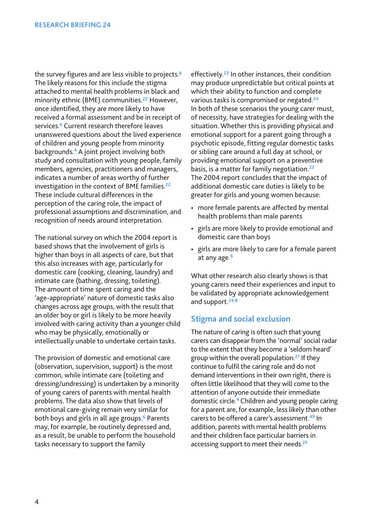the survey figures and are less visible to projects.**<sup>6</sup>** The likely reasons for this include the stigma attached to mental health problems in black and minority ethnic (BME) communities.**<sup>22</sup>** However, once identified, they are more likely to have received a formal assessment and be in receipt of services.**<sup>6</sup>** Current research therefore leaves unanswered questions about the lived experience of children and young people from minority backgrounds.**<sup>4</sup>** A joint project involving both study and consultation with young people, family members, agencies, practitioners and managers, indicates a number of areas worthy of further investigation in the context of BME families.**<sup>22</sup>** These include cultural differences in the perception of the caring role, the impact of professional assumptions and discrimination, and recognition of needs around interpretation.

The national survey on which the 2004 report is based shows that the involvement of girls is higher than boys in all aspects of care, but that this also increases with age, particularly for domestic care (cooking, cleaning, laundry) and intimate care (bathing, dressing, toileting). The amount of time spent caring and the 'age-appropriate' nature of domestic tasks also changes across age groups, with the result that an older boy or girl is likely to be more heavily involved with caring activity than a younger child who may be physically, emotionally or intellectually unable to undertake certain tasks.

The provision of domestic and emotional care (observation, supervision, support) is the most common, while intimate care (toileting and dressing/undressing) is undertaken by a minority of young carers of parents with mental health problems. The data also show that levels of emotional care-giving remain very similar for both boys and girls in all age groups.**<sup>6</sup>** Parents may, for example, be routinely depressed and, as a result, be unable to perform the household tasks necessary to support the family

effectively.**<sup>23</sup>** In other instances, their condition may produce unpredictable but critical points at which their ability to function and complete various tasks is compromised or negated.**<sup>24</sup>** In both of these scenarios the young carer must, of necessity, have strategies for dealing with the situation. Whether this is providing physical and emotional support for a parent going through a psychotic episode, fitting regular domestic tasks or sibling care around a full day at school, or providing emotional support on a preventive basis, is a matter for family negotiation.**<sup>23</sup>** The 2004 report concludes that the impact of additional domestic care duties is likely to be greater for girls and young women because:

- more female parents are affected by mental health problems than male parents
- girls are more likely to provide emotional and domestic care than boys
- girls are more likely to care for a female parent at any age.**<sup>6</sup>**

What other research also clearly shows is that young carers need their experiences and input to be validated by appropriate acknowledgement and support.**24,8**

#### **Stigma and social exclusion**

The nature of caring is often such that young carers can disappear from the 'normal' social radar to the extent that they become a 'seldom heard' group within the overall population.**<sup>21</sup>** If they continue to fulfil the caring role and do not demand interventions in their own right, there is often little likelihood that they will come to the attention of anyone outside their immediate domestic circle.**<sup>4</sup>** Children and young people caring for a parent are, for example, less likely than other carers to be offered a carer's assessment.**<sup>49</sup>** In addition, parents with mental health problems and their children face particular barriers in accessing support to meet their needs.**<sup>25</sup>**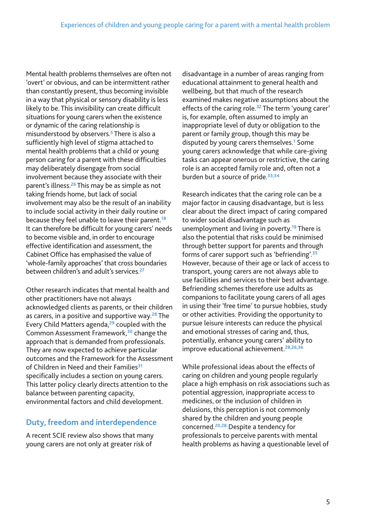Mental health problems themselves are often not 'overt' or obvious, and can be intermittent rather than constantly present, thus becoming invisible in a way that physical or sensory disability is less likely to be. This invisibility can create difficult situations for young carers when the existence or dynamic of the caring relationship is misunderstood by observers.**<sup>5</sup>** There is also a sufficiently high level of stigma attached to mental health problems that a child or young person caring for a parent with these difficulties may deliberately disengage from social involvement because they associate with their parent's illness.**<sup>26</sup>** This may be as simple as not taking friends home, but lack of social involvement may also be the result of an inability to include social activity in their daily routine or because they feel unable to leave their parent.**<sup>18</sup>** It can therefore be difficult for young carers' needs to become visible and, in order to encourage effective identification and assessment, the Cabinet Office has emphasised the value of 'whole-family approaches' that cross boundaries between children's and adult's services.**<sup>27</sup>**

Other research indicates that mental health and other practitioners have not always acknowledged clients as parents, or their children as carers, in a positive and supportive way.**<sup>28</sup>** The Every Child Matters agenda,**<sup>29</sup>** coupled with the Common Assessment Framework,**<sup>30</sup>** change the approach that is demanded from professionals. They are now expected to achieve particular outcomes and the Framework for the Assessment of Children in Need and their Families**<sup>31</sup>** specifically includes a section on young carers. This latter policy clearly directs attention to the balance between parenting capacity, environmental factors and child development.

#### **Duty, freedom and interdependence**

A recent SCIE review also shows that many young carers are not only at greater risk of

disadvantage in a number of areas ranging from educational attainment to general health and wellbeing, but that much of the research examined makes negative assumptions about the effects of the caring role.**<sup>32</sup>** The term 'young carer' is, for example, often assumed to imply an inappropriate level of duty or obligation to the parent or family group, though this may be disputed by young carers themselves.**<sup>1</sup>** Some young carers acknowledge that while care-giving tasks can appear onerous or restrictive, the caring role is an accepted family role and, often not a burden but a source of pride.**33,34**

Research indicates that the caring role can be a major factor in causing disadvantage, but is less clear about the direct impact of caring compared to wider social disadvantage such as unemployment and living in poverty.**<sup>19</sup>** There is also the potential that risks could be minimised through better support for parents and through forms of carer support such as 'befriending'.**<sup>35</sup>** However, because of their age or lack of access to transport, young carers are not always able to use facilities and services to their best advantage. Befriending schemes therefore use adults as companions to facilitate young carers of all ages in using their 'free time' to pursue hobbies, study or other activities. Providing the opportunity to pursue leisure interests can reduce the physical and emotional stresses of caring and, thus, potentially, enhance young carers' ability to improve educational achievement.**28,26,36**

While professional ideas about the effects of caring on children and young people regularly place a high emphasis on risk associations such as potential aggression, inappropriate access to medicines, or the inclusion of children in delusions, this perception is not commonly shared by the children and young people concerned.**20,28** Despite a tendency for professionals to perceive parents with mental health problems as having a questionable level of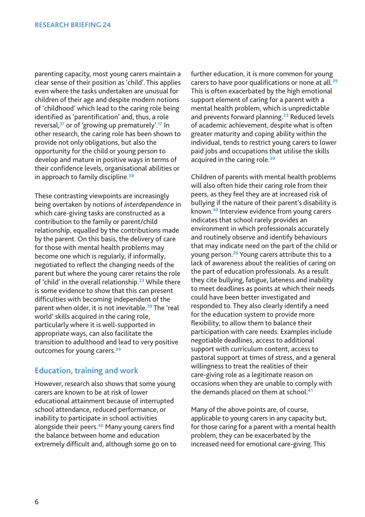parenting capacity, most young carers maintain a clear sense of their position as 'child'. This applies even where the tasks undertaken are unusual for children of their age and despite modern notions of 'childhood' which lead to the caring role being identified as 'parentification' and, thus, a role reversal,**<sup>37</sup>** or of 'growing up prematurely'.**<sup>17</sup>** In other research, the caring role has been shown to provide not only obligations, but also the opportunity for the child or young person to develop and mature in positive ways in terms of their confidence levels, organisational abilities or in approach to family discipline.**<sup>38</sup>**

These contrasting viewpoints are increasingly being overtaken by notions of *interdependence* in which care-giving tasks are constructed as a contribution to the family or parent/child relationship, equalled by the contributions made by the parent. On this basis, the delivery of care for those with mental health problems may become one which is regularly, if informally, negotiated to reflect the changing needs of the parent but where the young carer retains the role of 'child' in the overall relationship.**<sup>23</sup>** While there is some evidence to show that this can present difficulties with becoming independent of the parent when older, it is not inevitable.**<sup>39</sup>** The 'real world' skills acquired in the caring role, particularly where it is well-supported in appropriate ways, can also facilitate the transition to adulthood and lead to very positive outcomes for young carers.**<sup>39</sup>**

#### **Education, training and work**

However, research also shows that some young carers are known to be at risk of lower educational attainment because of interrupted school attendance, reduced performance, or inability to participate in school activities alongside their peers.**<sup>40</sup>** Many young carers find the balance between home and education extremely difficult and, although some go on to further education, it is more common for young carers to have poor qualifications or none at all.**<sup>39</sup>** This is often exacerbated by the high emotional support element of caring for a parent with a mental health problem, which is unpredictable and prevents forward planning.**<sup>23</sup>** Reduced levels of academic achievement, despite what is often greater maturity and coping ability within the individual, tends to restrict young carers to lower paid jobs and occupations that utilise the skills acquired in the caring role.**<sup>39</sup>**

Children of parents with mental health problems will also often hide their caring role from their peers, as they feel they are at increased risk of bullying if the nature of their parent's disability is known.**<sup>40</sup>** Interview evidence from young carers indicates that school rarely provides an environment in which professionals accurately and routinely observe and identify behaviours that may indicate need on the part of the child or young person.**<sup>26</sup>** Young carers attribute this to a lack of awareness about the realities of caring on the part of education professionals. As a result they cite bullying, fatigue, lateness and inability to meet deadlines as points at which their needs could have been better investigated and responded to. They also clearly identify a need for the education system to provide more flexibility, to allow them to balance their participation with care needs. Examples include negotiable deadlines, access to additional support with curriculum content, access to pastoral support at times of stress, and a general willingness to treat the realities of their care-giving role as a legitimate reason on occasions when they are unable to comply with the demands placed on them at school.<sup>47</sup>

Many of the above points are, of course, applicable to young carers in any capacity but, for those caring for a parent with a mental health problem, they can be exacerbated by the increased need for emotional care-giving. This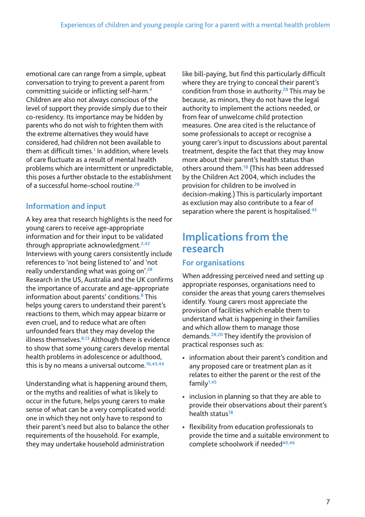emotional care can range from a simple, upbeat conversation to trying to prevent a parent from committing suicide or inflicting self-harm.**<sup>4</sup>** Children are also not always conscious of the level of support they provide simply due to their co-residency. Its importance may be hidden by parents who do not wish to frighten them with the extreme alternatives they would have considered, had children not been available to them at difficult times.**<sup>1</sup>** In addition, where levels of care fluctuate as a result of mental health problems which are intermittent or unpredictable, this poses a further obstacle to the establishment of a successful home–school routine.**<sup>28</sup>**

## **Information and input**

A key area that research highlights is the need for young carers to receive age-appropriate information and for their input to be validated through appropriate acknowledgment.**2,42** Interviews with young carers consistently include references to 'not being listened to' and 'not really understanding what was going on'.**<sup>28</sup>** Research in the US, Australia and the UK confirms the importance of accurate and age-appropriate information about parents' conditions.**<sup>8</sup>** This helps young carers to understand their parent's reactions to them, which may appear bizarre or even cruel, and to reduce what are often unfounded fears that they may develop the illness themselves.**8,13** Although there is evidence to show that some young carers develop mental health problems in adolescence or adulthood, this is by no means a universal outcome.**16,43,44**

Understanding what is happening around them, or the myths and realities of what is likely to occur in the future, helps young carers to make sense of what can be a very complicated world: one in which they not only have to respond to their parent's need but also to balance the other requirements of the household. For example, they may undertake household administration

like bill-paying, but find this particularly difficult where they are trying to conceal their parent's condition from those in authority.**<sup>28</sup>** This may be because, as minors, they do not have the legal authority to implement the actions needed, or from fear of unwelcome child protection measures. One area cited is the reluctance of some professionals to accept or recognise a young carer's input to discussions about parental treatment, despite the fact that they may know more about their parent's health status than others around them.**<sup>18</sup>** (This has been addressed by the Children Act 2004, which includes the provision for children to be involved in decision-making.) This is particularly important as exclusion may also contribute to a fear of separation where the parent is hospitalised.**<sup>45</sup>**

## **Implications from the research**

#### **For organisations**

When addressing perceived need and setting up appropriate responses, organisations need to consider the areas that young carers themselves identify. Young carers most appreciate the provision of facilities which enable them to understand what is happening in their families and which allow them to manage those demands.**28,20** They identify the provision of practical responses such as:

- information about their parent's condition and any proposed care or treatment plan as it relates to either the parent or the rest of the family**1,45**
- inclusion in planning so that they are able to provide their observations about their parent's health status**<sup>18</sup>**
- flexibility from education professionals to provide the time and a suitable environment to complete schoolwork if needed**40,46**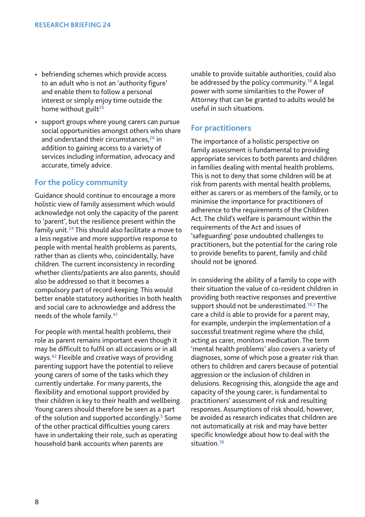- befriending schemes which provide access to an adult who is not an 'authority figure' and enable them to follow a personal interest or simply enjoy time outside the home without guilt**<sup>35</sup>**
- support groups where young carers can pursue social opportunities amongst others who share and understand their circumstances,**<sup>26</sup>** in addition to gaining access to a variety of services including information, advocacy and accurate, timely advice.

#### **For the policy community**

Guidance should continue to encourage a more holistic view of family assessment which would acknowledge not only the capacity of the parent to 'parent', but the resilience present within the family unit.**<sup>24</sup>** This should also facilitate a move to a less negative and more supportive response to people with mental health problems as parents, rather than as clients who, coincidentally, have children. The current inconsistency in recording whether clients/patients are also parents, should also be addressed so that it becomes a compulsory part of record-keeping. This would better enable statutory authorities in both health and social care to acknowledge and address the needs of the whole family.**<sup>47</sup>**

For people with mental health problems, their role as parent remains important even though it may be difficult to fulfil on all occasions or in all ways.**<sup>42</sup>** Flexible and creative ways of providing parenting support have the potential to relieve young carers of some of the tasks which they currently undertake. For many parents, the flexibility and emotional support provided by their children is key to their health and wellbeing. Young carers should therefore be seen as a part of the solution and supported accordingly.**<sup>5</sup>** Some of the other practical difficulties young carers have in undertaking their role, such as operating household bank accounts when parents are

unable to provide suitable authorities, could also be addressed by the policy community.**<sup>18</sup>** A legal power with some similarities to the Power of Attorney that can be granted to adults would be useful in such situations.

#### **For practitioners**

The importance of a holistic perspective on family assessment is fundamental to providing appropriate services to both parents and children in families dealing with mental health problems. This is not to deny that some children will be at risk from parents with mental health problems, either as carers or as members of the family, or to minimise the importance for practitioners of adherence to the requirements of the Children Act. The child's welfare is paramount within the requirements of the Act and issues of 'safeguarding' pose undoubted challenges to practitioners, but the potential for the caring role to provide benefits to parent, family and child should not be ignored.

In considering the ability of a family to cope with their situation the value of co-resident children in providing both reactive responses and preventive support should not be underestimated.**18,5** The care a child is able to provide for a parent may, for example, underpin the implementation of a successful treatment regime where the child, acting as carer, monitors medication. The term 'mental health problems' also covers a variety of diagnoses, some of which pose a greater risk than others to children and carers because of potential aggression or the inclusion of children in delusions. Recognising this, alongside the age and capacity of the young carer, is fundamental to practitioners' assessment of risk and resulting responses. Assumptions of risk should, however, be avoided as research indicates that children are not automatically at risk and may have better specific knowledge about how to deal with the situation.**<sup>18</sup>**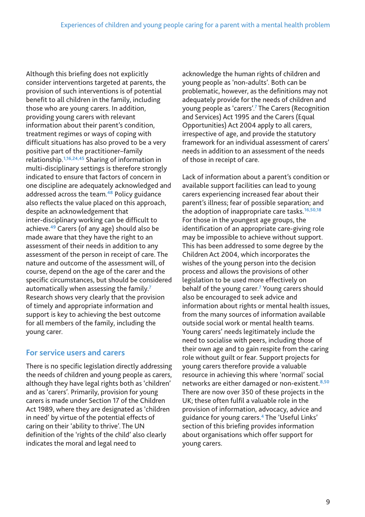Although this briefing does not explicitly consider interventions targeted at parents, the provision of such interventions is of potential benefit to all children in the family, including those who are young carers. In addition, providing young carers with relevant information about their parent's condition, treatment regimes or ways of coping with difficult situations has also proved to be a very positive part of the practitioner–family relationship.**1,16,24,45** Sharing of information in multi-disciplinary settings is therefore strongly indicated to ensure that factors of concern in one discipline are adequately acknowledged and addressed across the team.**<sup>48</sup>** Policy guidance also reflects the value placed on this approach, despite an acknowledgement that inter-disciplinary working can be difficult to achieve.**<sup>49</sup>** Carers (of any age) should also be made aware that they have the right to an assessment of their needs in addition to any assessment of the person in receipt of care. The nature and outcome of the assessment will, of course, depend on the age of the carer and the specific circumstances, but should be considered automatically when assessing the family.**<sup>7</sup>** Research shows very clearly that the provision of timely and appropriate information and support is key to achieving the best outcome for all members of the family, including the young carer.

#### **For service users and carers**

There is no specific legislation directly addressing the needs of children and young people as carers, although they have legal rights both as 'children' and as 'carers'. Primarily, provision for young carers is made under Section 17 of the Children Act 1989, where they are designated as 'children in need' by virtue of the potential effects of caring on their 'ability to thrive'. The UN definition of the 'rights of the child' also clearly indicates the moral and legal need to

acknowledge the human rights of children and young people as 'non-adults'. Both can be problematic, however, as the definitions may not adequately provide for the needs of children and young people as 'carers'.**<sup>7</sup>** The Carers (Recognition and Services) Act 1995 and the Carers (Equal Opportunities) Act 2004 apply to all carers, irrespective of age, and provide the statutory framework for an individual assessment of carers' needs in addition to an assessment of the needs of those in receipt of care.

Lack of information about a parent's condition or available support facilities can lead to young carers experiencing increased fear about their parent's illness; fear of possible separation; and the adoption of inappropriate care tasks.**16,50,18** For those in the youngest age groups, the identification of an appropriate care-giving role may be impossible to achieve without support. This has been addressed to some degree by the Children Act 2004, which incorporates the wishes of the young person into the decision process and allows the provisions of other legislation to be used more effectively on behalf of the young carer.**<sup>7</sup>** Young carers should also be encouraged to seek advice and information about rights or mental health issues, from the many sources of information available outside social work or mental health teams. Young carers' needs legitimately include the need to socialise with peers, including those of their own age and to gain respite from the caring role without guilt or fear. Support projects for young carers therefore provide a valuable resource in achieving this where 'normal' social networks are either damaged or non-existent.**8,50** There are now over 350 of these projects in the UK; these often fulfil a valuable role in the provision of information, advocacy, advice and guidance for young carers.**<sup>4</sup>** The 'Useful Links' section of this briefing provides information about organisations which offer support for young carers.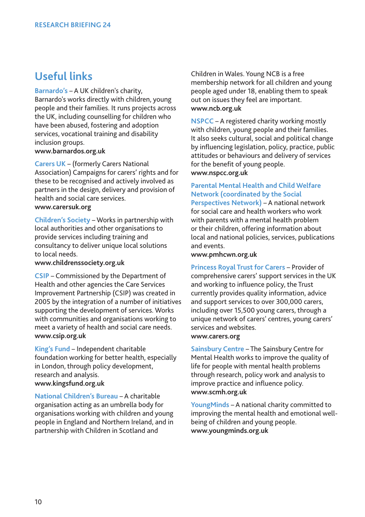## **Useful links**

**Barnardo's** – A UK children's charity, Barnardo's works directly with children, young people and their families. It runs projects across the UK, including counselling for children who have been abused, fostering and adoption services, vocational training and disability inclusion groups. **www.barnardos.org.uk** 

**Carers UK** – (formerly Carers National Association) Campaigns for carers' rights and for these to be recognised and actively involved as partners in the design, delivery and provision of health and social care services. **www.carersuk.org**

**Children's Society** – Works in partnership with local authorities and other organisations to provide services including training and consultancy to deliver unique local solutions to local needs.

#### **www.childrenssociety.org.uk**

**CSIP** – Commissioned by the Department of Health and other agencies the Care Services Improvement Partnership (CSIP) was created in 2005 by the integration of a number of initiatives supporting the development of services. Works with communities and organisations working to meet a variety of health and social care needs. **www.csip.org.uk**

**King's Fund** – Independent charitable foundation working for better health, especially in London, through policy development, research and analysis. **www.kingsfund.org.uk**

**National Children's Bureau** – A charitable organisation acting as an umbrella body for organisations working with children and young people in England and Northern Ireland, and in partnership with Children in Scotland and

Children in Wales. Young NCB is a free membership network for all children and young people aged under 18, enabling them to speak out on issues they feel are important. **www.ncb.org.uk**

**NSPCC** – A registered charity working mostly with children, young people and their families. It also seeks cultural, social and political change by influencing legislation, policy, practice, public attitudes or behaviours and delivery of services for the benefit of young people. **www.nspcc.org.uk**

## **Parental Mental Health and Child Welfare Network (coordinated by the Social**

**Perspectives Network)** – A national network for social care and health workers who work with parents with a mental health problem or their children, offering information about local and national policies, services, publications and events.

#### **www.pmhcwn.org.uk**

**Princess Royal Trust for Carers** – Provider of comprehensive carers' support services in the UK and working to influence policy, the Trust currently provides quality information, advice and support services to over 300,000 carers, including over 15,500 young carers, through a unique network of carers' centres, young carers' services and websites. **www.carers.org** 

**Sainsbury Centre** – The Sainsbury Centre for Mental Health works to improve the quality of life for people with mental health problems through research, policy work and analysis to improve practice and influence policy. **www.scmh.org.uk**

**YoungMinds** – A national charity committed to improving the mental health and emotional wellbeing of children and young people. **www.youngminds.org.uk**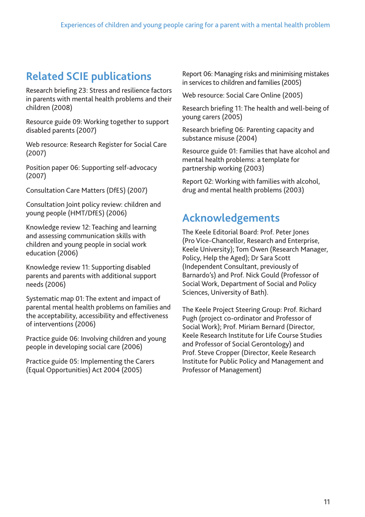# **Related SCIE publications**

Research briefing 23: Stress and resilience factors in parents with mental health problems and their children (2008)

Resource guide 09: Working together to support disabled parents (2007)

Web resource: Research Register for Social Care (2007)

Position paper 06: Supporting self-advocacy (2007)

Consultation Care Matters (DfES) (2007)

Consultation Joint policy review: children and young people (HMT/DfES) (2006)

Knowledge review 12: Teaching and learning and assessing communication skills with children and young people in social work education (2006)

Knowledge review 11: Supporting disabled parents and parents with additional support needs (2006)

Systematic map 01: The extent and impact of parental mental health problems on families and the acceptability, accessibility and effectiveness of interventions (2006)

Practice guide 06: Involving children and young people in developing social care (2006)

Practice guide 05: Implementing the Carers (Equal Opportunities) Act 2004 (2005)

Report 06: Managing risks and minimising mistakes in services to children and families (2005)

Web resource: Social Care Online (2005)

Research briefing 11: The health and well-being of young carers (2005)

Research briefing 06: Parenting capacity and substance misuse (2004)

Resource guide 01: Families that have alcohol and mental health problems: a template for partnership working (2003)

Report 02: Working with families with alcohol, drug and mental health problems (2003)

## **Acknowledgements**

The Keele Editorial Board: Prof. Peter Jones (Pro Vice-Chancellor, Research and Enterprise, Keele University); Tom Owen (Research Manager, Policy, Help the Aged); Dr Sara Scott (Independent Consultant, previously of Barnardo's) and Prof. Nick Gould (Professor of Social Work, Department of Social and Policy Sciences, University of Bath).

The Keele Project Steering Group: Prof. Richard Pugh (project co-ordinator and Professor of Social Work); Prof. Miriam Bernard (Director, Keele Research Institute for Life Course Studies and Professor of Social Gerontology) and Prof. Steve Cropper (Director, Keele Research Institute for Public Policy and Management and Professor of Management)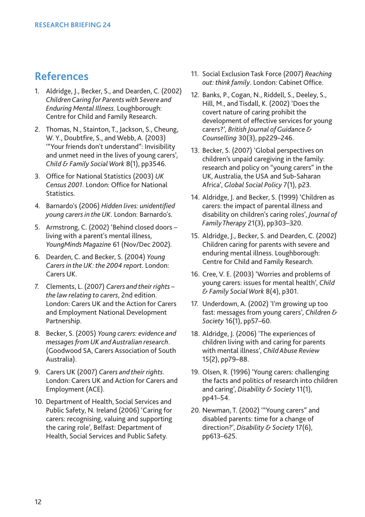## **References**

- 1. Aldridge, J., Becker, S., and Dearden, C. (2002) *Children Caring for Parents with Severe and Enduring Mental Illness*. Loughborough: Centre for Child and Family Research.
- 2. Thomas, N., Stainton, T., Jackson, S., Cheung, W. Y., Doubtfire, S., and Webb, A. (2003) '"Your friends don't understand": Invisibility and unmet need in the lives of young carers', *Child & Family Social Work* 8(1), pp3546.
- 3. Office for National Statistics (2003) *UK Census 2001*. London: Office for National Statistics.
- 4. Barnardo's (2006) *Hidden lives: unidentified young carers in the UK*. London: Barnardo's.
- 5. Armstrong, C. (2002) 'Behind closed doors living with a parent's mental illness, *YoungMinds Magazine* 61 (Nov/Dec 2002).
- 6. Dearden, C. and Becker, S. (2004) *Young Carers in the UK: the 2004 report*. London: Carers UK.
- 7. Clements, L. (2007) *Carers and their rights – the law relating to carers*, 2nd edition. London: Carers UK and the Action for Carers and Employment National Development Partnership.
- 8. Becker, S. (2005) *Young carers: evidence and messages from UK and Australian research*. (Goodwood SA, Carers Association of South Australia).
- 9. Carers UK (2007) *Carers and their rights*. London: Carers UK and Action for Carers and Employment (ACE).
- 10. Department of Health, Social Services and Public Safety, N. Ireland (2006) 'Caring for carers: recognising, valuing and supporting the caring role', Belfast: Department of Health, Social Services and Public Safety.
- 11. Social Exclusion Task Force (2007) *Reaching out: think family*. London: Cabinet Office.
- 12. Banks, P., Cogan, N., Riddell, S., Deeley, S., Hill, M., and Tisdall, K. (2002) 'Does the covert nature of caring prohibit the development of effective services for young carers?', *British Journal of Guidance & Counselling* 30(3), pp229–246.
- 13. Becker, S. (2007) 'Global perspectives on children's unpaid caregiving in the family: research and policy on "young carers" in the UK, Australia, the USA and Sub-Saharan Africa', *Global Social Policy* 7(1), p23.
- 14. Aldridge, J. and Becker, S. (1999) 'Children as carers: the impact of parental illness and disability on children's caring roles', *Journal of Family Therapy* 21(3), pp303–320.
- 15. Aldridge, J., Becker, S. and Dearden, C. (2002) Children caring for parents with severe and enduring mental illness. Loughborough: Centre for Child and Family Research.
- 16. Cree, V. E. (2003) 'Worries and problems of young carers: issues for mental health', *Child & Family Social Work* 8(4), p301.
- 17. Underdown, A. (2002) 'I'm growing up too fast: messages from young carers', *Children & Society* 16(1), pp57–60.
- 18. Aldridge, J. (2006) 'The experiences of children living with and caring for parents with mental illness', *Child Abuse Review* 15(2), pp79–88.
- 19. Olsen, R. (1996) 'Young carers: challenging the facts and politics of research into children and caring', *Disability & Society* 11(1), pp41–54.
- 20. Newman, T. (2002) '"Young carers" and disabled parents: time for a change of direction?', *Disability & Society* 17(6), pp613–625.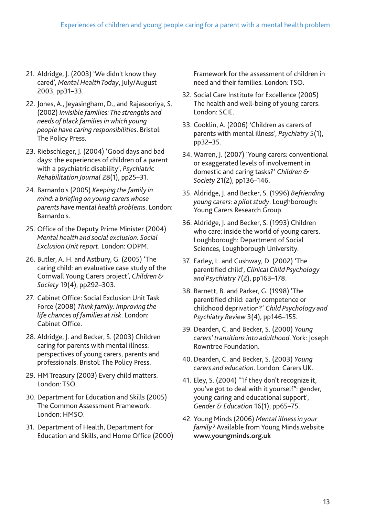- 21. Aldridge, J. (2003) 'We didn't know they cared', *Mental Health Today*, July/August 2003, pp31–33.
- 22. Jones, A., Jeyasingham, D., and Rajasooriya, S. (2002) *Invisible families: The strengths and needs of black families in which young people have caring responsibilities*. Bristol: The Policy Press.
- 23. Riebschleger, J. (2004) 'Good days and bad days: the experiences of children of a parent with a psychiatric disability', *Psychiatric Rehabilitation Journal* 28(1), pp25–31.
- 24. Barnardo's (2005) *Keeping the family in mind: a briefing on young carers whose parents have mental health problems*. London: Barnardo's.
- 25. Office of the Deputy Prime Minister (2004) *Mental health and social exclusion: Social Exclusion Unit report*. London: ODPM.
- 26. Butler, A. H. and Astbury, G. (2005) 'The caring child: an evaluative case study of the Cornwall Young Carers project', *Children & Society* 19(4), pp292–303.
- 27. Cabinet Office: Social Exclusion Unit Task Force (2008) *Think family: improving the life chances of families at risk*. London: Cabinet Office.
- 28. Aldridge, J. and Becker, S. (2003) Children caring for parents with mental illness: perspectives of young carers, parents and professionals. Bristol: The Policy Press.
- 29. HM Treasury (2003) Every child matters. London: TSO.
- 30. Department for Education and Skills (2005) The Common Assessment Framework. London: HMSO.
- 31. Department of Health, Department for Education and Skills, and Home Office (2000)

Framework for the assessment of children in need and their families. London: TSO.

- 32. Social Care Institute for Excellence (2005) The health and well-being of young carers. London: SCIE.
- 33. Cooklin, A. (2006) 'Children as carers of parents with mental illness', *Psychiatry* 5(1), pp32–35.
- 34. Warren, J. (2007) 'Young carers: conventional or exaggerated levels of involvement in domestic and caring tasks?' *Children & Society* 21(2), pp136–146.
- 35. Aldridge, J. and Becker, S. (1996) *Befriending young carers: a pilot study*. Loughborough: Young Carers Research Group.
- 36. Aldridge, J. and Becker, S. (1993) Children who care: inside the world of young carers. Loughborough: Department of Social Sciences, Loughborough University.
- 37. Earley, L. and Cushway, D. (2002) 'The parentified child', *Clinical Child Psychology and Psychiatry* 7(2), pp163–178.
- 38. Barnett, B. and Parker, G. (1998) 'The parentified child: early competence or childhood deprivation?' *Child Psychology and Psychiatry Review* 3(4), pp146–155.
- 39. Dearden, C. and Becker, S. (2000) *Young carers' transitions into adulthood*. York: Joseph Rowntree Foundation.
- 40. Dearden, C. and Becker, S. (2003) *Young carers and education*. London: Carers UK.
- 41. Eley, S. (2004) '"If they don't recognize it, you've got to deal with it yourself": gender, young caring and educational support', *Gender & Education* 16(1), pp65–75.
- 42. Young Minds (2006) *Mental illness in your family?* Available from Young Minds.website **www.youngminds.org.uk**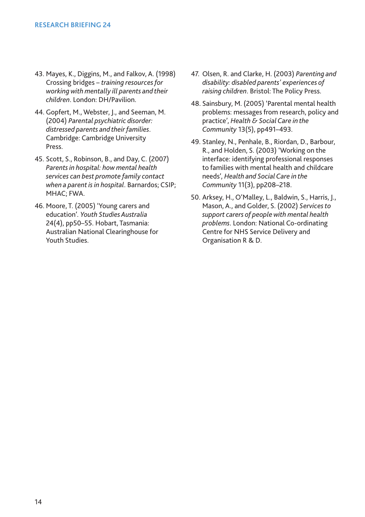- 43. Mayes, K., Diggins, M., and Falkov, A. (1998) Crossing bridges – *training resources for working with mentally ill parents and their children*. London: DH/Pavilion.
- 44. Gopfert, M., Webster, J., and Seeman, M. (2004) *Parental psychiatric disorder: distressed parents and their families*. Cambridge: Cambridge University Press.
- 45. Scott, S., Robinson, B., and Day, C. (2007) *Parents in hospital: how mental health services can best promote family contact when a parent is in hospital*. Barnardos; CSIP; MHAC; FWA.
- 46. Moore, T. (2005) 'Young carers and education'. *Youth Studies Australia* 24(4), pp50–55. Hobart, Tasmania: Australian National Clearinghouse for Youth Studies.
- 47. Olsen, R. and Clarke, H. (2003) *Parenting and disability: disabled parents' experiences of raising children*. Bristol: The Policy Press.
- 48. Sainsbury, M. (2005) 'Parental mental health problems: messages from research, policy and practice', *Health & Social Care in the Community* 13(5), pp491–493.
- 49. Stanley, N., Penhale, B., Riordan, D., Barbour, R., and Holden, S. (2003) 'Working on the interface: identifying professional responses to families with mental health and childcare needs', *Health and Social Care in the Community* 11(3), pp208–218.
- 50. Arksey, H., O'Malley, L., Baldwin, S., Harris, J., Mason, A., and Golder, S. (2002) *Services to support carers of people with mental health problems*. London: National Co-ordinating Centre for NHS Service Delivery and Organisation R & D.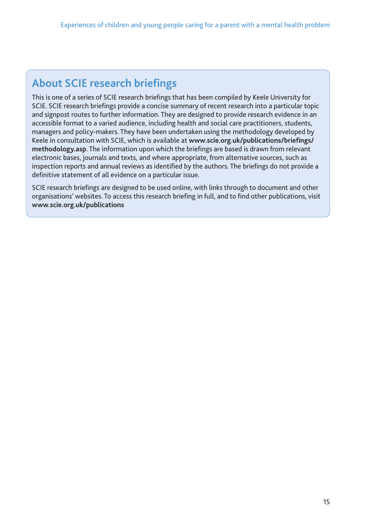## **About SCIE research briefings**

This is one of a series of SCIE research briefings that has been compiled by Keele University for SCIE. SCIE research briefings provide a concise summary of recent research into a particular topic and signpost routes to further information. They are designed to provide research evidence in an accessible format to a varied audience, including health and social care practitioners, students, managers and policy-makers. They have been undertaken using the methodology developed by Keele in consultation with SCIE, which is available at **www.scie.org.uk/publications/briefings/ methodology.asp**. The information upon which the briefings are based is drawn from relevant electronic bases, journals and texts, and where appropriate, from alternative sources, such as inspection reports and annual reviews as identified by the authors. The briefings do not provide a definitive statement of all evidence on a particular issue.

SCIE research briefings are designed to be used online, with links through to document and other organisations' websites. To access this research briefing in full, and to find other publications, visit **www.scie.org.uk/publications**